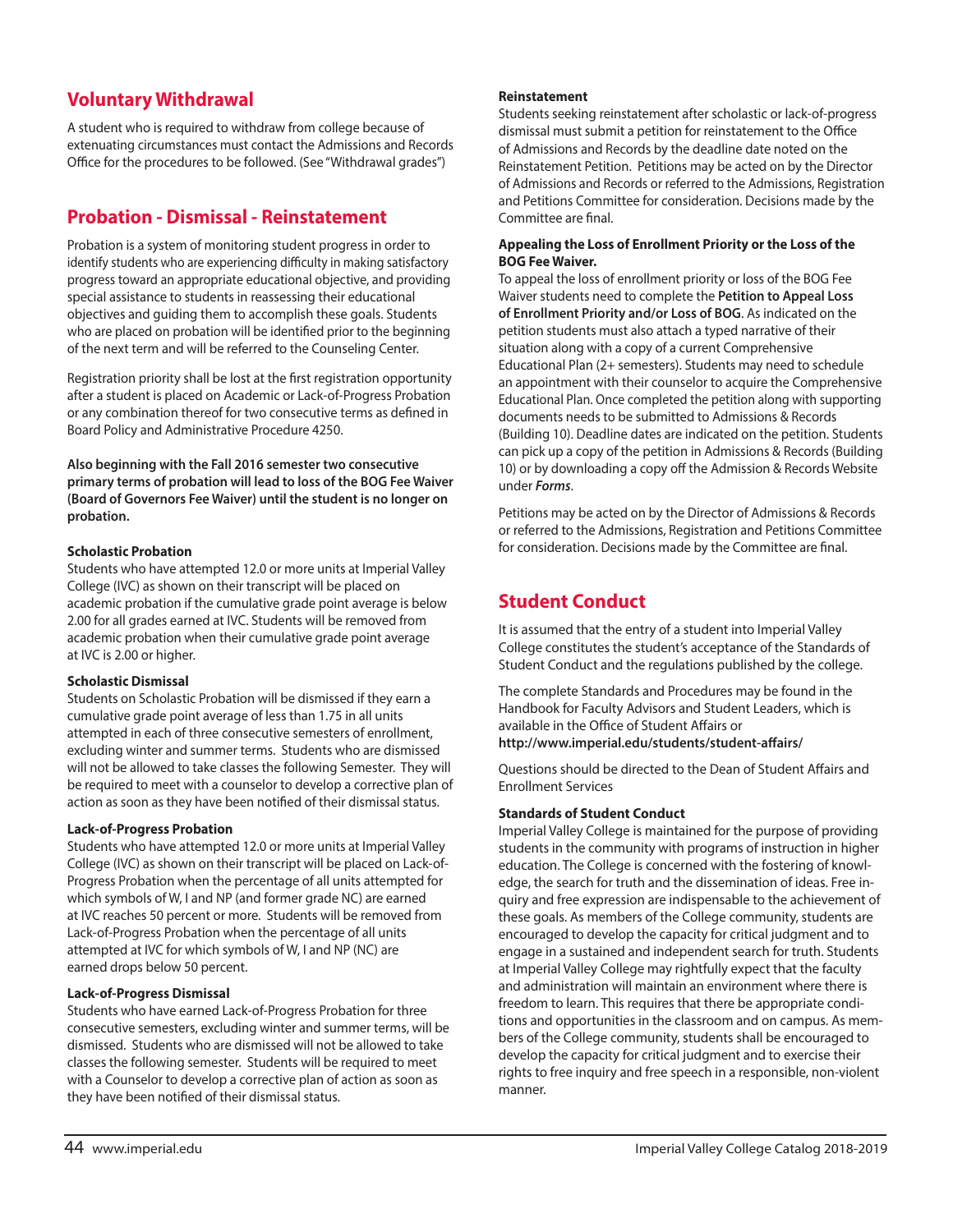# **Voluntary Withdrawal**

A student who is required to withdraw from college because of extenuating circumstances must contact the Admissions and Records Office for the procedures to be followed. (See "Withdrawal grades")

## **Probation - Dismissal - Reinstatement**

Probation is a system of monitoring student progress in order to identify students who are experiencing difficulty in making satisfactory progress toward an appropriate educational objective, and providing special assistance to students in reassessing their educational objectives and guiding them to accomplish these goals. Students who are placed on probation will be identified prior to the beginning of the next term and will be referred to the Counseling Center.

Registration priority shall be lost at the first registration opportunity after a student is placed on Academic or Lack-of-Progress Probation or any combination thereof for two consecutive terms as defined in Board Policy and Administrative Procedure 4250.

**Also beginning with the Fall 2016 semester two consecutive primary terms of probation will lead to loss of the BOG Fee Waiver (Board of Governors Fee Waiver) until the student is no longer on probation.**

## **Scholastic Probation**

Students who have attempted 12.0 or more units at Imperial Valley College (IVC) as shown on their transcript will be placed on academic probation if the cumulative grade point average is below 2.00 for all grades earned at IVC. Students will be removed from academic probation when their cumulative grade point average at IVC is 2.00 or higher.

## **Scholastic Dismissal**

Students on Scholastic Probation will be dismissed if they earn a cumulative grade point average of less than 1.75 in all units attempted in each of three consecutive semesters of enrollment, excluding winter and summer terms. Students who are dismissed will not be allowed to take classes the following Semester. They will be required to meet with a counselor to develop a corrective plan of action as soon as they have been notified of their dismissal status.

## **Lack-of-Progress Probation**

Students who have attempted 12.0 or more units at Imperial Valley College (IVC) as shown on their transcript will be placed on Lack-of-Progress Probation when the percentage of all units attempted for which symbols of W, I and NP (and former grade NC) are earned at IVC reaches 50 percent or more. Students will be removed from Lack-of-Progress Probation when the percentage of all units attempted at IVC for which symbols of W, I and NP (NC) are earned drops below 50 percent.

## **Lack-of-Progress Dismissal**

Students who have earned Lack-of-Progress Probation for three consecutive semesters, excluding winter and summer terms, will be dismissed. Students who are dismissed will not be allowed to take classes the following semester. Students will be required to meet with a Counselor to develop a corrective plan of action as soon as they have been notified of their dismissal status.

#### **Reinstatement**

Students seeking reinstatement after scholastic or lack-of-progress dismissal must submit a petition for reinstatement to the Office of Admissions and Records by the deadline date noted on the Reinstatement Petition. Petitions may be acted on by the Director of Admissions and Records or referred to the Admissions, Registration and Petitions Committee for consideration. Decisions made by the Committee are final.

## **Appealing the Loss of Enrollment Priority or the Loss of the BOG Fee Waiver.**

To appeal the loss of enrollment priority or loss of the BOG Fee Waiver students need to complete the **Petition to Appeal Loss of Enrollment Priority and/or Loss of BOG**. As indicated on the petition students must also attach a typed narrative of their situation along with a copy of a current Comprehensive Educational Plan (2+ semesters). Students may need to schedule an appointment with their counselor to acquire the Comprehensive Educational Plan. Once completed the petition along with supporting documents needs to be submitted to Admissions & Records (Building 10). Deadline dates are indicated on the petition. Students can pick up a copy of the petition in Admissions & Records (Building 10) or by downloading a copy off the Admission & Records Website under *Forms*.

Petitions may be acted on by the Director of Admissions & Records or referred to the Admissions, Registration and Petitions Committee for consideration. Decisions made by the Committee are final.

# **Student Conduct**

It is assumed that the entry of a student into Imperial Valley College constitutes the student's acceptance of the Standards of Student Conduct and the regulations published by the college.

The complete Standards and Procedures may be found in the Handbook for Faculty Advisors and Student Leaders, which is available in the Office of Student Affairs or **http://www.imperial.edu/students/student-affairs/**

Questions should be directed to the Dean of Student Affairs and Enrollment Services

## **Standards of Student Conduct**

Imperial Valley College is maintained for the purpose of providing students in the community with programs of instruction in higher education. The College is concerned with the fostering of knowledge, the search for truth and the dissemination of ideas. Free inquiry and free expression are indispensable to the achievement of these goals. As members of the College community, students are encouraged to develop the capacity for critical judgment and to engage in a sustained and independent search for truth. Students at Imperial Valley College may rightfully expect that the faculty and administration will maintain an environment where there is freedom to learn. This requires that there be appropriate conditions and opportunities in the classroom and on campus. As members of the College community, students shall be encouraged to develop the capacity for critical judgment and to exercise their rights to free inquiry and free speech in a responsible, non-violent manner.